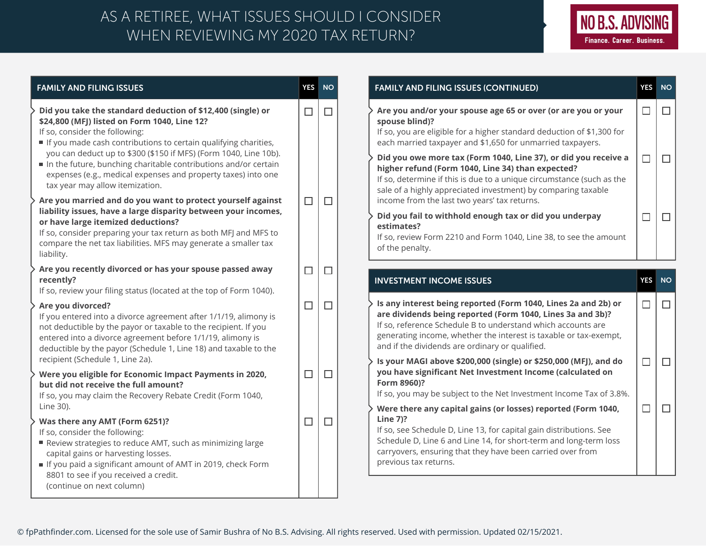## WHEN REVIEWING MY 2020 TAX RETURN? AS A RETIREE, WHAT ISSUES SHOULD I CONSIDER



| <b>FAMILY AND FILING ISSUES</b>                                                                                                                                                                                                                                                                                                | <b>YES</b> | <b>NO</b> | <b>FAMILY AND FILING ISSUES (CONTINUED)</b>                                                                                                                                                                                                                                                                                                                                              | <b>YES</b>       |
|--------------------------------------------------------------------------------------------------------------------------------------------------------------------------------------------------------------------------------------------------------------------------------------------------------------------------------|------------|-----------|------------------------------------------------------------------------------------------------------------------------------------------------------------------------------------------------------------------------------------------------------------------------------------------------------------------------------------------------------------------------------------------|------------------|
| Did you take the standard deduction of \$12,400 (single) or<br>\$24,800 (MFJ) listed on Form 1040, Line 12?<br>If so, consider the following:<br>If you made cash contributions to certain qualifying charities,<br>you can deduct up to \$300 (\$150 if MFS) (Form 1040, Line 10b).                                           | $\Box$     | $\Box$    | Are you and/or your spouse age 65 or over (or are you or your<br>spouse blind)?<br>If so, you are eligible for a higher standard deduction of \$1,300 for<br>each married taxpayer and \$1,650 for unmarried taxpayers.                                                                                                                                                                  | $\Box$           |
| In the future, bunching charitable contributions and/or certain<br>expenses (e.g., medical expenses and property taxes) into one<br>tax year may allow itemization.<br>Are you married and do you want to protect yourself against                                                                                             | $\Box$     | $\Box$    | Did you owe more tax (Form 1040, Line 37), or did you receive a<br>higher refund (Form 1040, Line 34) than expected?<br>If so, determine if this is due to a unique circumstance (such as the<br>sale of a highly appreciated investment) by comparing taxable<br>income from the last two years' tax returns.                                                                           | $\Box$           |
| liability issues, have a large disparity between your incomes,<br>or have large itemized deductions?<br>If so, consider preparing your tax return as both MFJ and MFS to<br>compare the net tax liabilities. MFS may generate a smaller tax<br>liability.                                                                      |            |           | Did you fail to withhold enough tax or did you underpay<br>estimates?<br>If so, review Form 2210 and Form 1040, Line 38, to see the amount<br>of the penalty.                                                                                                                                                                                                                            | $\Box$           |
| Are you recently divorced or has your spouse passed away<br>recently?<br>If so, review your filing status (located at the top of Form 1040).                                                                                                                                                                                   | $\Box$     | $\Box$    | <b>INVESTMENT INCOME ISSUES</b>                                                                                                                                                                                                                                                                                                                                                          | <b>YES</b>       |
| Are you divorced?<br>If you entered into a divorce agreement after 1/1/19, alimony is<br>not deductible by the payor or taxable to the recipient. If you<br>entered into a divorce agreement before 1/1/19, alimony is<br>deductible by the payor (Schedule 1, Line 18) and taxable to the<br>recipient (Schedule 1, Line 2a). | $\Box$     | $\Box$    | Is any interest being reported (Form 1040, Lines 2a and 2b) or<br>are dividends being reported (Form 1040, Lines 3a and 3b)?<br>If so, reference Schedule B to understand which accounts are<br>generating income, whether the interest is taxable or tax-exempt,<br>and if the dividends are ordinary or qualified.<br>Is your MAGI above \$200,000 (single) or \$250,000 (MFJ), and do | $\Box$<br>$\Box$ |
| Were you eligible for Economic Impact Payments in 2020,<br>but did not receive the full amount?<br>If so, you may claim the Recovery Rebate Credit (Form 1040,<br>Line 30).                                                                                                                                                    | $\Box$     | $\Box$    | you have significant Net Investment Income (calculated on<br>Form 8960)?<br>If so, you may be subject to the Net Investment Income Tax of 3.8%.                                                                                                                                                                                                                                          |                  |
| Was there any AMT (Form 6251)?<br>If so, consider the following:<br>Review strategies to reduce AMT, such as minimizing large<br>capital gains or harvesting losses.                                                                                                                                                           | $\Box$     | $\Box$    | Were there any capital gains (or losses) reported (Form 1040,<br>Line 7)?<br>If so, see Schedule D, Line 13, for capital gain distributions. See<br>Schedule D, Line 6 and Line 14, for short-term and long-term loss<br>carryovers, ensuring that they have been carried over from<br>previous tax returns.                                                                             | $\Box$           |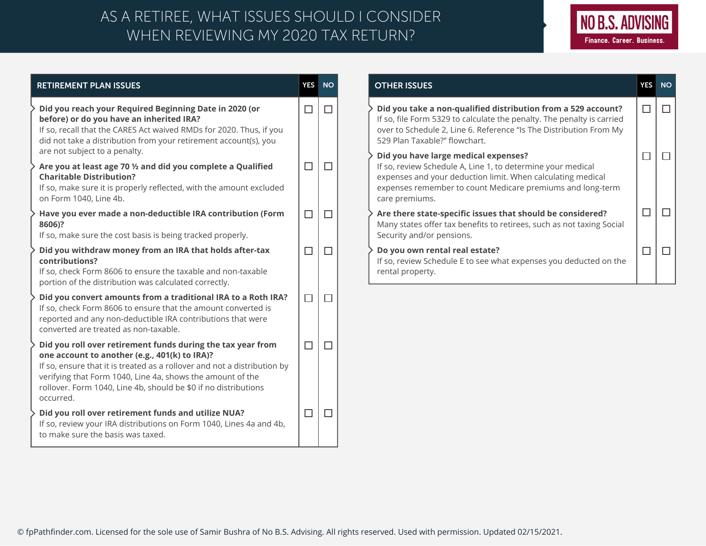## WHEN REVIEWING MY 2020 TAX RETURN? AS A RETIREE, WHAT ISSUES SHOULD I CONSIDER



| <b>RETIREMENT PLAN ISSUES</b> |                                                                                                                                                                                                                                                                                                                                        |   | <b>NO</b> |
|-------------------------------|----------------------------------------------------------------------------------------------------------------------------------------------------------------------------------------------------------------------------------------------------------------------------------------------------------------------------------------|---|-----------|
|                               | Did you reach your Required Beginning Date in 2020 (or<br>before) or do you have an inherited IRA?<br>If so, recall that the CARES Act waived RMDs for 2020. Thus, if you<br>did not take a distribution from your retirement account(s), you<br>are not subject to a penalty.                                                         |   |           |
|                               | Are you at least age 70 1/2 and did you complete a Qualified<br><b>Charitable Distribution?</b><br>If so, make sure it is properly reflected, with the amount excluded<br>on Form 1040, Line 4b.                                                                                                                                       |   |           |
|                               | Have you ever made a non-deductible IRA contribution (Form<br>8606)?<br>If so, make sure the cost basis is being tracked properly.                                                                                                                                                                                                     |   |           |
|                               | Did you withdraw money from an IRA that holds after-tax<br>contributions?<br>If so, check Form 8606 to ensure the taxable and non-taxable<br>portion of the distribution was calculated correctly.                                                                                                                                     |   |           |
|                               | Did you convert amounts from a traditional IRA to a Roth IRA?<br>If so, check Form 8606 to ensure that the amount converted is<br>reported and any non-deductible IRA contributions that were<br>converted are treated as non-taxable.                                                                                                 |   |           |
|                               | Did you roll over retirement funds during the tax year from<br>one account to another (e.g., 401(k) to IRA)?<br>If so, ensure that it is treated as a rollover and not a distribution by<br>verifying that Form 1040, Line 4a, shows the amount of the<br>rollover. Form 1040, Line 4b, should be \$0 if no distributions<br>occurred. | □ |           |
|                               | Did you roll over retirement funds and utilize NUA?<br>If so, review your IRA distributions on Form 1040, Lines 4a and 4b,<br>to make sure the basis was taxed.                                                                                                                                                                        |   |           |

| <b>OTHER ISSUES</b>                                                                                                                                                                                                                                | <b>YES</b> | <b>NO</b> |
|----------------------------------------------------------------------------------------------------------------------------------------------------------------------------------------------------------------------------------------------------|------------|-----------|
| Did you take a non-qualified distribution from a 529 account?<br>If so, file Form 5329 to calculate the penalty. The penalty is carried<br>over to Schedule 2, Line 6. Reference "Is The Distribution From My<br>529 Plan Taxable?" flowchart.     |            |           |
| Did you have large medical expenses?<br>If so, review Schedule A, Line 1, to determine your medical<br>expenses and your deduction limit. When calculating medical<br>expenses remember to count Medicare premiums and long-term<br>care premiums. |            |           |
| Are there state-specific issues that should be considered?<br>Many states offer tax benefits to retirees, such as not taxing Social<br>Security and/or pensions.                                                                                   |            |           |
| Do you own rental real estate?<br>If so, review Schedule E to see what expenses you deducted on the<br>rental property.                                                                                                                            |            |           |